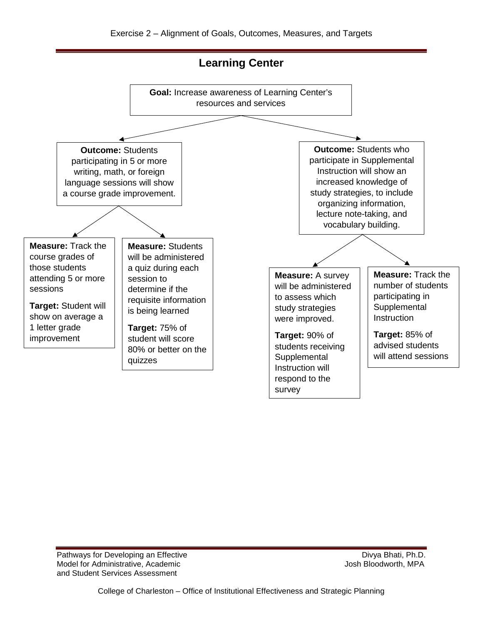## Exercise 2 – Alignment of Goals, Outcomes, Measures, and Targets



Pathways for Developing an Effective Divya Bhati, Ph.D. Model for Administrative, Academic  $\blacksquare$  Josh Bloodworth, MPA and Student Services Assessment

College of Charleston – Office of Institutional Effectiveness and Strategic Planning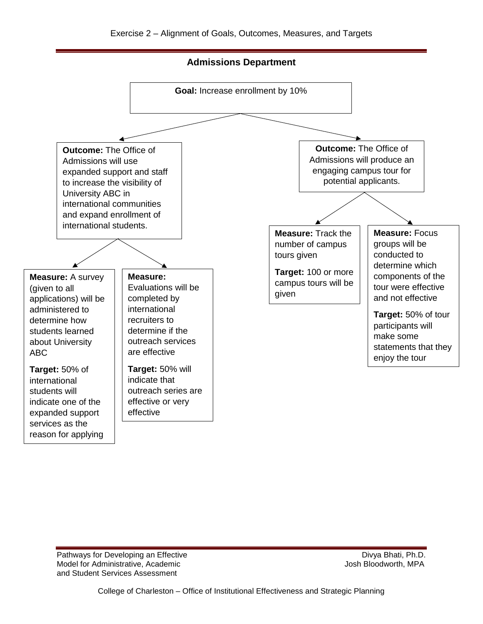**Admissions Department**